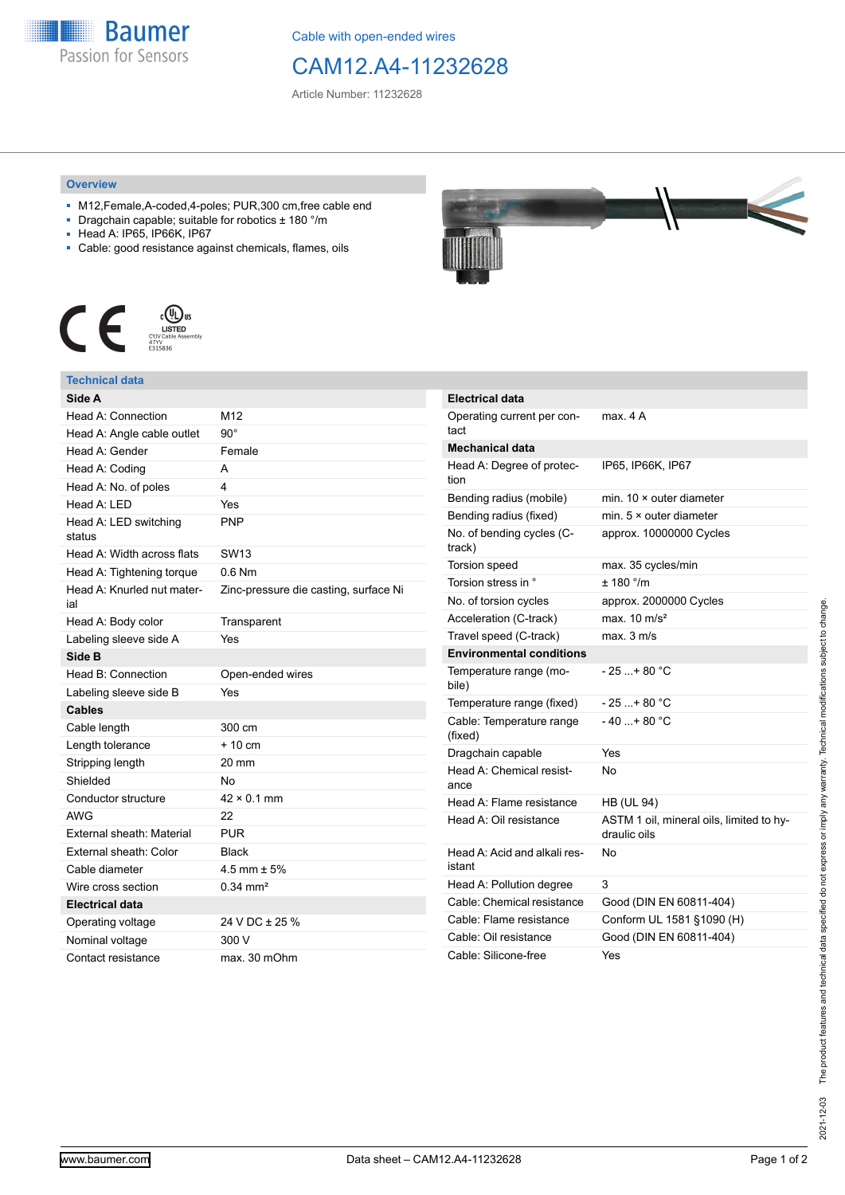

Cable with open-ended wires

## CAM12.A4-11232628

Article Number: 11232628

## **Overview**

- M12,Female,A-coded,4-poles; PUR,300 cm,free cable end
- Dragchain capable; suitable for robotics ± 180 °/m
- Head A: IP65, IP66K, IP67
- Cable: good resistance against chemicals, flames, oils



## **Technical data**

| Head A: Connection<br>M12<br>$90^{\circ}$<br>Head A: Angle cable outlet<br>Head A: Gender<br>Female<br>Head A: Coding<br>A<br>Head A: No. of poles<br>4<br>Head A: LED<br>Yes<br>Head A: LED switching<br><b>PNP</b><br>status<br>Head A: Width across flats<br>SW <sub>13</sub><br>$0.6$ Nm<br>Head A: Tightening torque<br>Head A: Knurled nut mater-<br>Zinc-pressure die casting, surface Ni<br>ial<br>Head A: Body color<br>Transparent<br>Labeling sleeve side A<br>Yes<br>Side B<br>Head B: Connection<br>Open-ended wires<br>Labeling sleeve side B<br>Yes<br>Cables<br>Cable length<br>300 cm<br>$+10$ cm<br>Length tolerance<br>Stripping length<br>$20 \text{ mm}$<br>Shielded<br>No<br>Conductor structure<br>$42 \times 0.1$ mm<br><b>AWG</b><br>22<br>External sheath: Material<br><b>PUR</b><br>External sheath: Color<br>Black<br>Cable diameter<br>4.5 mm $\pm$ 5%<br>Wire cross section<br>$0.34$ mm <sup>2</sup><br><b>Electrical data</b><br>24 V DC ± 25 %<br>Operating voltage<br>300 V<br>Nominal voltage<br>Contact resistance<br>max. 30 mOhm | Side A |  |
|------------------------------------------------------------------------------------------------------------------------------------------------------------------------------------------------------------------------------------------------------------------------------------------------------------------------------------------------------------------------------------------------------------------------------------------------------------------------------------------------------------------------------------------------------------------------------------------------------------------------------------------------------------------------------------------------------------------------------------------------------------------------------------------------------------------------------------------------------------------------------------------------------------------------------------------------------------------------------------------------------------------------------------------------------------------------|--------|--|
|                                                                                                                                                                                                                                                                                                                                                                                                                                                                                                                                                                                                                                                                                                                                                                                                                                                                                                                                                                                                                                                                        |        |  |
|                                                                                                                                                                                                                                                                                                                                                                                                                                                                                                                                                                                                                                                                                                                                                                                                                                                                                                                                                                                                                                                                        |        |  |
|                                                                                                                                                                                                                                                                                                                                                                                                                                                                                                                                                                                                                                                                                                                                                                                                                                                                                                                                                                                                                                                                        |        |  |
|                                                                                                                                                                                                                                                                                                                                                                                                                                                                                                                                                                                                                                                                                                                                                                                                                                                                                                                                                                                                                                                                        |        |  |
|                                                                                                                                                                                                                                                                                                                                                                                                                                                                                                                                                                                                                                                                                                                                                                                                                                                                                                                                                                                                                                                                        |        |  |
|                                                                                                                                                                                                                                                                                                                                                                                                                                                                                                                                                                                                                                                                                                                                                                                                                                                                                                                                                                                                                                                                        |        |  |
|                                                                                                                                                                                                                                                                                                                                                                                                                                                                                                                                                                                                                                                                                                                                                                                                                                                                                                                                                                                                                                                                        |        |  |
|                                                                                                                                                                                                                                                                                                                                                                                                                                                                                                                                                                                                                                                                                                                                                                                                                                                                                                                                                                                                                                                                        |        |  |
|                                                                                                                                                                                                                                                                                                                                                                                                                                                                                                                                                                                                                                                                                                                                                                                                                                                                                                                                                                                                                                                                        |        |  |
|                                                                                                                                                                                                                                                                                                                                                                                                                                                                                                                                                                                                                                                                                                                                                                                                                                                                                                                                                                                                                                                                        |        |  |
|                                                                                                                                                                                                                                                                                                                                                                                                                                                                                                                                                                                                                                                                                                                                                                                                                                                                                                                                                                                                                                                                        |        |  |
|                                                                                                                                                                                                                                                                                                                                                                                                                                                                                                                                                                                                                                                                                                                                                                                                                                                                                                                                                                                                                                                                        |        |  |
|                                                                                                                                                                                                                                                                                                                                                                                                                                                                                                                                                                                                                                                                                                                                                                                                                                                                                                                                                                                                                                                                        |        |  |
|                                                                                                                                                                                                                                                                                                                                                                                                                                                                                                                                                                                                                                                                                                                                                                                                                                                                                                                                                                                                                                                                        |        |  |
|                                                                                                                                                                                                                                                                                                                                                                                                                                                                                                                                                                                                                                                                                                                                                                                                                                                                                                                                                                                                                                                                        |        |  |
|                                                                                                                                                                                                                                                                                                                                                                                                                                                                                                                                                                                                                                                                                                                                                                                                                                                                                                                                                                                                                                                                        |        |  |
|                                                                                                                                                                                                                                                                                                                                                                                                                                                                                                                                                                                                                                                                                                                                                                                                                                                                                                                                                                                                                                                                        |        |  |
|                                                                                                                                                                                                                                                                                                                                                                                                                                                                                                                                                                                                                                                                                                                                                                                                                                                                                                                                                                                                                                                                        |        |  |
|                                                                                                                                                                                                                                                                                                                                                                                                                                                                                                                                                                                                                                                                                                                                                                                                                                                                                                                                                                                                                                                                        |        |  |
|                                                                                                                                                                                                                                                                                                                                                                                                                                                                                                                                                                                                                                                                                                                                                                                                                                                                                                                                                                                                                                                                        |        |  |
|                                                                                                                                                                                                                                                                                                                                                                                                                                                                                                                                                                                                                                                                                                                                                                                                                                                                                                                                                                                                                                                                        |        |  |
|                                                                                                                                                                                                                                                                                                                                                                                                                                                                                                                                                                                                                                                                                                                                                                                                                                                                                                                                                                                                                                                                        |        |  |
|                                                                                                                                                                                                                                                                                                                                                                                                                                                                                                                                                                                                                                                                                                                                                                                                                                                                                                                                                                                                                                                                        |        |  |
|                                                                                                                                                                                                                                                                                                                                                                                                                                                                                                                                                                                                                                                                                                                                                                                                                                                                                                                                                                                                                                                                        |        |  |
|                                                                                                                                                                                                                                                                                                                                                                                                                                                                                                                                                                                                                                                                                                                                                                                                                                                                                                                                                                                                                                                                        |        |  |
|                                                                                                                                                                                                                                                                                                                                                                                                                                                                                                                                                                                                                                                                                                                                                                                                                                                                                                                                                                                                                                                                        |        |  |
|                                                                                                                                                                                                                                                                                                                                                                                                                                                                                                                                                                                                                                                                                                                                                                                                                                                                                                                                                                                                                                                                        |        |  |
|                                                                                                                                                                                                                                                                                                                                                                                                                                                                                                                                                                                                                                                                                                                                                                                                                                                                                                                                                                                                                                                                        |        |  |
|                                                                                                                                                                                                                                                                                                                                                                                                                                                                                                                                                                                                                                                                                                                                                                                                                                                                                                                                                                                                                                                                        |        |  |
|                                                                                                                                                                                                                                                                                                                                                                                                                                                                                                                                                                                                                                                                                                                                                                                                                                                                                                                                                                                                                                                                        |        |  |



| <b>Electrical data</b>                 |                                                          |
|----------------------------------------|----------------------------------------------------------|
| Operating current per con-<br>tact     | max. 4 A                                                 |
| <b>Mechanical data</b>                 |                                                          |
| Head A: Degree of protec-<br>tion      | IP65, IP66K, IP67                                        |
| Bending radius (mobile)                | min. $10 \times$ outer diameter                          |
| Bending radius (fixed)                 | min. $5 \times$ outer diameter                           |
| No. of bending cycles (C-<br>track)    | approx. 10000000 Cycles                                  |
| <b>Torsion speed</b>                   | max. 35 cycles/min                                       |
| Torsion stress in °                    | ± 180 °/m                                                |
| No. of torsion cycles                  | approx. 2000000 Cycles                                   |
| Acceleration (C-track)                 | max. $10 \text{ m/s}^2$                                  |
| Travel speed (C-track)                 | max. 3 m/s                                               |
| <b>Environmental conditions</b>        |                                                          |
| Temperature range (mo-<br>bile)        | - 25 + 80 °C                                             |
| Temperature range (fixed)              | - 25 +80 °C                                              |
| Cable: Temperature range<br>(fixed)    | $-40+80 °C$                                              |
| Dragchain capable                      | Yes                                                      |
| Head A: Chemical resist-<br>ance       | No                                                       |
| Head A: Flame resistance               | <b>HB (UL 94)</b>                                        |
| Head A: Oil resistance                 | ASTM 1 oil, mineral oils, limited to hy-<br>draulic oils |
| Head A: Acid and alkali res-<br>istant | No                                                       |
| Head A: Pollution degree               | 3                                                        |
| Cable: Chemical resistance             | Good (DIN EN 60811-404)                                  |
| Cable: Flame resistance                | Conform UL 1581 §1090 (H)                                |
| Cable: Oil resistance                  | Good (DIN EN 60811-404)                                  |
| Cable: Silicone-free                   | Yes                                                      |